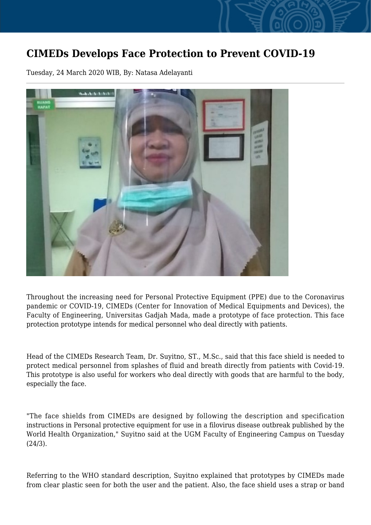## **CIMEDs Develops Face Protection to Prevent COVID-19**

Tuesday, 24 March 2020 WIB, By: Natasa Adelayanti



Throughout the increasing need for Personal Protective Equipment (PPE) due to the Coronavirus pandemic or COVID-19, CIMEDs (Center for Innovation of Medical Equipments and Devices), the Faculty of Engineering, Universitas Gadjah Mada, made a prototype of face protection. This face protection prototype intends for medical personnel who deal directly with patients.

Head of the CIMEDs Research Team, Dr. Suyitno, ST., M.Sc., said that this face shield is needed to protect medical personnel from splashes of fluid and breath directly from patients with Covid-19. This prototype is also useful for workers who deal directly with goods that are harmful to the body, especially the face.

"The face shields from CIMEDs are designed by following the description and specification instructions in Personal protective equipment for use in a filovirus disease outbreak published by the World Health Organization," Suyitno said at the UGM Faculty of Engineering Campus on Tuesday (24/3).

Referring to the WHO standard description, Suyitno explained that prototypes by CIMEDs made from clear plastic seen for both the user and the patient. Also, the face shield uses a strap or band